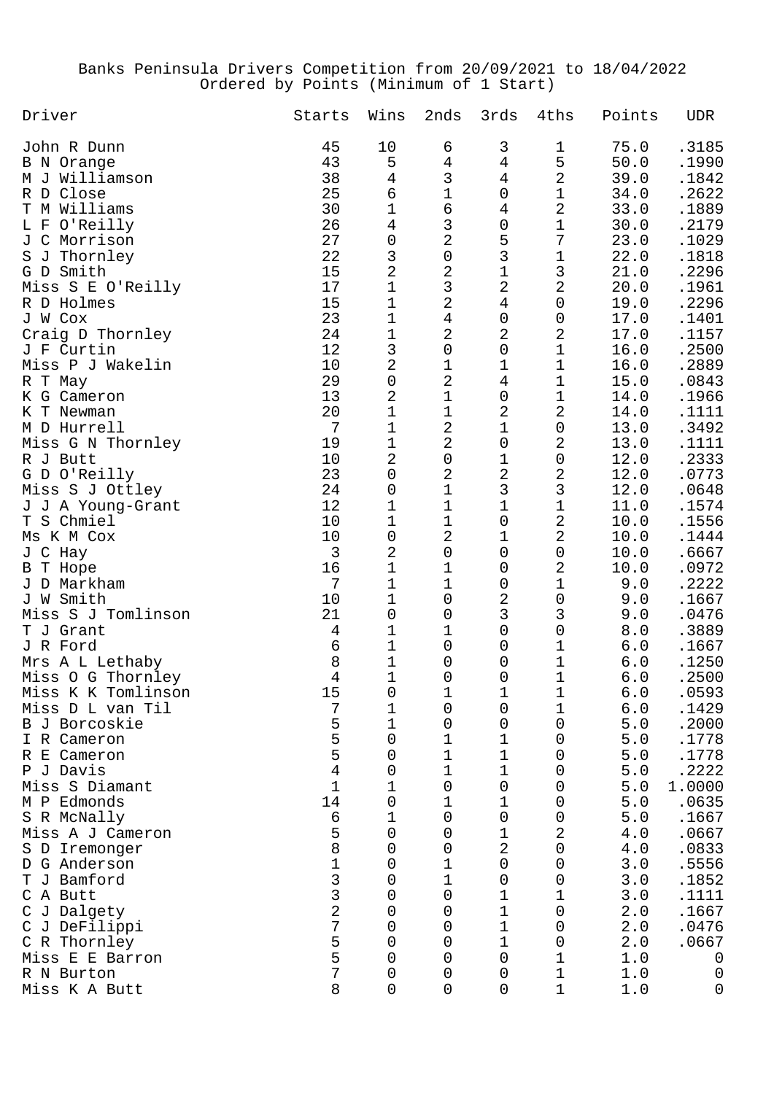## Banks Peninsula Drivers Competition from 20/09/2021 to 18/04/2022 Ordered by Points (Minimum of 1 Start)

| Driver             | Starts         | Wins           | 2nds           | 3rds                | 4ths                | Points      | <b>UDR</b> |
|--------------------|----------------|----------------|----------------|---------------------|---------------------|-------------|------------|
| John R Dunn        | 45             | 10             | 6              | 3                   | 1                   | 75.0        | .3185      |
| B N Orange         | 43             | 5              | $\sqrt{4}$     | $\overline{4}$      | 5                   | 50.0        | .1990      |
| M J Williamson     | 38             | $\overline{4}$ | $\mathbf{3}$   | $\overline{4}$      | $\overline{2}$      | 39.0        | .1842      |
| R D Close          | 25             | 6              | $\mathbf 1$    | 0                   | $\mathbf 1$         | 34.0        | .2622      |
| T M Williams       | 30             | $1\,$          | 6              | $\overline{4}$      | $\overline{a}$      | 33.0        | .1889      |
| L F O'Reilly       | 26             | $\bf 4$        | $\mathfrak{Z}$ | 0                   | $1\,$               | 30.0        | .2179      |
| J C Morrison       | 27             | $\mathbf 0$    | $\overline{2}$ | 5                   | 7                   | 23.0        | .1029      |
| S J Thornley       | 22             | $\mathsf 3$    | $\mbox{O}$     | $\mathbf{3}$        | $1\,$               | 22.0        | .1818      |
| G D Smith          | 15             | $\overline{a}$ | $\overline{2}$ | $\mathbf 1$         | $\mathsf{3}$        | 21.0        | .2296      |
| Miss S E O'Reilly  | 17             | $\mathbf 1$    | $\mathbf{3}$   | $\overline{2}$      | $\overline{2}$      | 20.0        | .1961      |
| R D Holmes         | 15             | $\mathbf 1$    | $\overline{a}$ | $\overline{4}$      | 0                   | 19.0        | .2296      |
| J W Cox            | 23             | $1\,$          | $\bf 4$        | $\mathsf{O}\xspace$ | 0                   | 17.0        | .1401      |
| Craig D Thornley   | 24             | $\mathbf 1$    | $\overline{2}$ | 2                   | $\overline{a}$      | 17.0        | .1157      |
| J F Curtin         | 12             | $\mathbf{3}$   | 0              | 0                   | $\mathbf 1$         | 16.0        | .2500      |
| Miss P J Wakelin   | 10             | $\overline{2}$ | 1              | 1                   | $\mathbf 1$         | 16.0        | .2889      |
| R T May            | 29             | $\mathbf 0$    | $\overline{2}$ | $\overline{4}$      | $\mathbf 1$         | 15.0        | .0843      |
| K G Cameron        | 13             | $\sqrt{2}$     | 1              | 0                   | $1\,$               | 14.0        | .1966      |
| K T Newman         | 20             | $\mathbf 1$    | 1              | $\overline{2}$      | $\overline{2}$      | 14.0        | .1111      |
| M D Hurrell        | 7              | 1              | $\overline{2}$ | 1                   | 0                   | 13.0        | .3492      |
| Miss G N Thornley  | 19             | $\mathbf 1$    | $\overline{2}$ | 0                   | $\overline{2}$      | 13.0        | .1111      |
| R J Butt           | 10             | $\sqrt{2}$     | 0              | 1                   | 0                   | 12.0        | .2333      |
| G D O'Reilly       | 23             | $\mathbf 0$    | $\overline{2}$ | $\overline{a}$      | $\overline{c}$      | 12.0        | .0773      |
| Miss S J Ottley    | 24             | $\mathbf 0$    | 1              | $\mathsf{3}$        | $\mathsf{3}$        | 12.0        | .0648      |
| J J A Young-Grant  | 12             | 1              | 1              | 1                   | $\mathbf 1$         | 11.0        | .1574      |
| T S Chmiel         | 10             | $\mathbf 1$    | 1              | 0                   | $\overline{a}$      | 10.0        | .1556      |
| Ms K M Cox         | 10             | $\mathbf 0$    | $\overline{2}$ | 1                   | $\overline{2}$      | 10.0        | .1444      |
| J C Hay            | 3              | $\overline{2}$ | 0              | 0                   | 0                   | 10.0        | .6667      |
| B T Hope           | 16             | $1\,$          | 1              | 0                   | 2                   | 10.0        | .0972      |
| J D Markham        | 7              | 1              | 1              | 0                   | 1                   | 9.0         | .2222      |
| J W Smith          | 10             | 1              | 0              | 2                   | $\mathsf{O}\xspace$ | 9.0         | .1667      |
| Miss S J Tomlinson | 21             | $\mathbf 0$    | 0              | 3                   | 3                   | 9.0         | .0476      |
| T J Grant          | $\overline{4}$ | 1              | 1              | 0                   | $\mathsf{O}\xspace$ | $\,8$ . $0$ | .3889      |
| J R Ford           | 6              | 1              | 0              | 0                   | 1                   | 6.0         | .1667      |
| Mrs A L Lethaby    | $\,8\,$        | 1              | 0              | 0                   | $\mathbf 1$         | 6.0         | .1250      |
| Miss O G Thornley  | 4              | $\mathbf 1$    | 0              | 0                   | 1                   | 6.0         | .2500      |
| Miss K K Tomlinson | 15             | 0              | ⊥              | $\mathbf 1$         | $1\,$               | 6.0         | .0593      |
| Miss D L van Til   | 7              | 1              | 0              | 0                   | 1                   | 6.0         | .1429      |
| B J Borcoskie      | 5              | 1              | 0              | 0                   | 0                   | 5.0         | .2000      |
| I R Cameron        | 5              | 0              | 1              | 1                   | 0                   | 5.0         | .1778      |
| R E Cameron        | 5              | 0              | 1              | 1                   | 0                   | 5.0         | .1778      |
| P J Davis          | $\overline{4}$ | 0              | 1              | 1                   | 0                   | 5.0         | .2222      |
| Miss S Diamant     | $\mathbf 1$    | 1              | 0              | 0                   | 0                   | 5.0         | 1.0000     |
| M P Edmonds        | 14             | 0              | 1              | 1                   | 0                   | 5.0         | .0635      |
| S R McNally        | 6              | 1              | 0              | 0                   | 0                   | 5.0         | .1667      |
| Miss A J Cameron   | 5              | 0              | 0              | 1                   | 2                   | 4.0         | .0667      |
| S D Iremonger      | 8              | 0              | 0              | 2                   | 0                   | 4.0         | .0833      |
| D G Anderson       | $1\,$          | 0              | 1              | 0                   | 0                   | 3.0         | .5556      |
| J Bamford<br>Т     | 3              | 0              | 1              | 0                   | 0                   | 3.0         | .1852      |
| C A Butt           | 3              | 0              | 0              | 1                   | 1                   | 3.0         | .1111      |
| C J Dalgety        | $\overline{2}$ | 0              | 0              | 1                   | 0                   | 2.0         | .1667      |
| C J DeFilippi      | 7              | 0              | 0              | 1                   | 0                   | 2.0         | .0476      |
| C R Thornley       | 5              | 0              | 0              | 1                   | 0                   | 2.0         | .0667      |
| Miss E E Barron    | 5              | 0              | 0              | 0                   | 1                   | 1.0         | 0          |
| R N Burton         | 7              | 0              | 0              | 0                   | 1                   | 1.0         | 0          |
| Miss K A Butt      | 8              | $\mathbf 0$    | 0              | 0                   | 1                   | 1.0         | 0          |